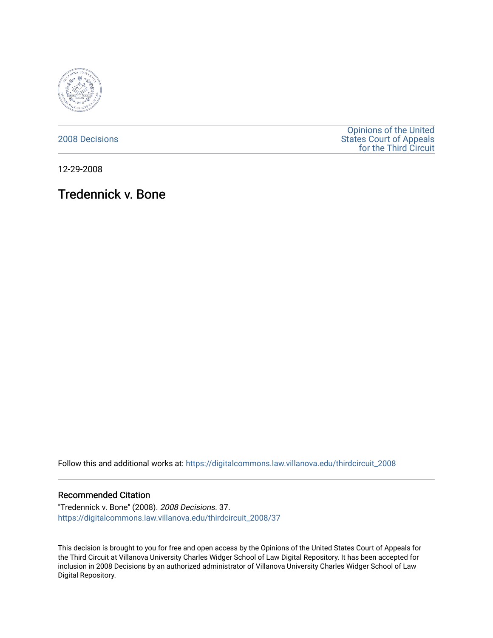

[2008 Decisions](https://digitalcommons.law.villanova.edu/thirdcircuit_2008)

[Opinions of the United](https://digitalcommons.law.villanova.edu/thirdcircuit)  [States Court of Appeals](https://digitalcommons.law.villanova.edu/thirdcircuit)  [for the Third Circuit](https://digitalcommons.law.villanova.edu/thirdcircuit) 

12-29-2008

# Tredennick v. Bone

Follow this and additional works at: [https://digitalcommons.law.villanova.edu/thirdcircuit\\_2008](https://digitalcommons.law.villanova.edu/thirdcircuit_2008?utm_source=digitalcommons.law.villanova.edu%2Fthirdcircuit_2008%2F37&utm_medium=PDF&utm_campaign=PDFCoverPages) 

#### Recommended Citation

"Tredennick v. Bone" (2008). 2008 Decisions. 37. [https://digitalcommons.law.villanova.edu/thirdcircuit\\_2008/37](https://digitalcommons.law.villanova.edu/thirdcircuit_2008/37?utm_source=digitalcommons.law.villanova.edu%2Fthirdcircuit_2008%2F37&utm_medium=PDF&utm_campaign=PDFCoverPages)

This decision is brought to you for free and open access by the Opinions of the United States Court of Appeals for the Third Circuit at Villanova University Charles Widger School of Law Digital Repository. It has been accepted for inclusion in 2008 Decisions by an authorized administrator of Villanova University Charles Widger School of Law Digital Repository.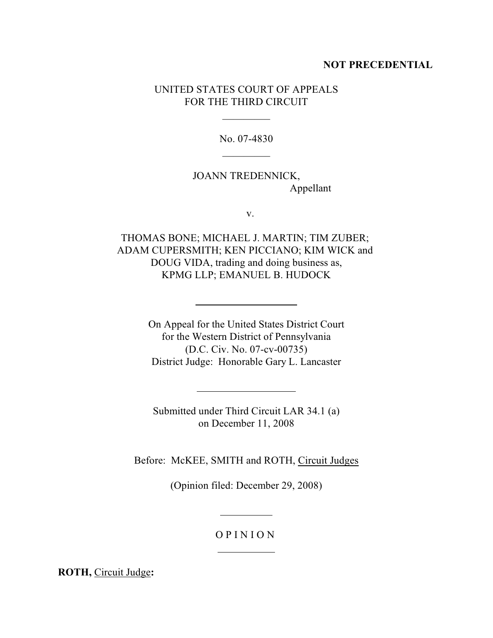### **NOT PRECEDENTIAL**

## UNITED STATES COURT OF APPEALS FOR THE THIRD CIRCUIT

 $\overline{\phantom{a}}$ 

No. 07-4830  $\overline{\phantom{a}}$ 

# JOANN TREDENNICK, Appellant

v.

THOMAS BONE; MICHAEL J. MARTIN; TIM ZUBER; ADAM CUPERSMITH; KEN PICCIANO; KIM WICK and DOUG VIDA, trading and doing business as, KPMG LLP; EMANUEL B. HUDOCK

 $\overline{a}$ 

 $\overline{a}$ 

On Appeal for the United States District Court for the Western District of Pennsylvania (D.C. Civ. No. 07-cv-00735) District Judge: Honorable Gary L. Lancaster

Submitted under Third Circuit LAR 34.1 (a) on December 11, 2008

Before: McKEE, SMITH and ROTH, Circuit Judges

(Opinion filed: December 29, 2008)

### O P I N I O N

 $\overline{a}$ 

 $\overline{a}$ 

**ROTH,** Circuit Judge**:**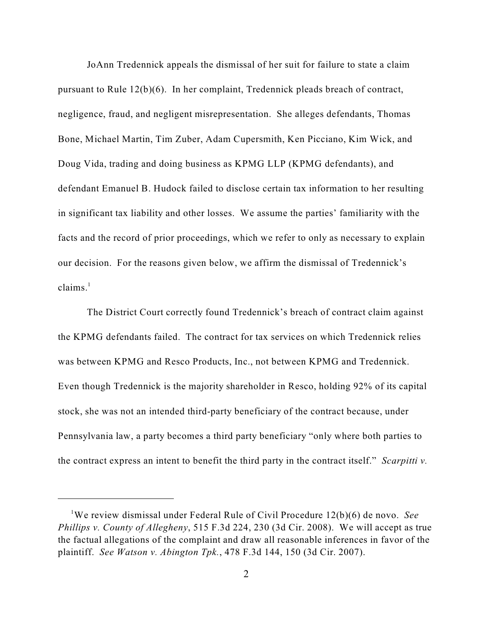JoAnn Tredennick appeals the dismissal of her suit for failure to state a claim pursuant to Rule 12(b)(6). In her complaint, Tredennick pleads breach of contract, negligence, fraud, and negligent misrepresentation. She alleges defendants, Thomas Bone, Michael Martin, Tim Zuber, Adam Cupersmith, Ken Picciano, Kim Wick, and Doug Vida, trading and doing business as KPMG LLP (KPMG defendants), and defendant Emanuel B. Hudock failed to disclose certain tax information to her resulting in significant tax liability and other losses. We assume the parties' familiarity with the facts and the record of prior proceedings, which we refer to only as necessary to explain our decision. For the reasons given below, we affirm the dismissal of Tredennick's  $clains.<sup>1</sup>$ 

The District Court correctly found Tredennick's breach of contract claim against the KPMG defendants failed. The contract for tax services on which Tredennick relies was between KPMG and Resco Products, Inc., not between KPMG and Tredennick. Even though Tredennick is the majority shareholder in Resco, holding 92% of its capital stock, she was not an intended third-party beneficiary of the contract because, under Pennsylvania law, a party becomes a third party beneficiary "only where both parties to the contract express an intent to benefit the third party in the contract itself." *Scarpitti v.*

<sup>&</sup>lt;sup>1</sup>We review dismissal under Federal Rule of Civil Procedure 12(b)(6) de novo. *See Phillips v. County of Allegheny*, 515 F.3d 224, 230 (3d Cir. 2008). We will accept as true the factual allegations of the complaint and draw all reasonable inferences in favor of the plaintiff. *See Watson v. Abington Tpk.*, 478 F.3d 144, 150 (3d Cir. 2007).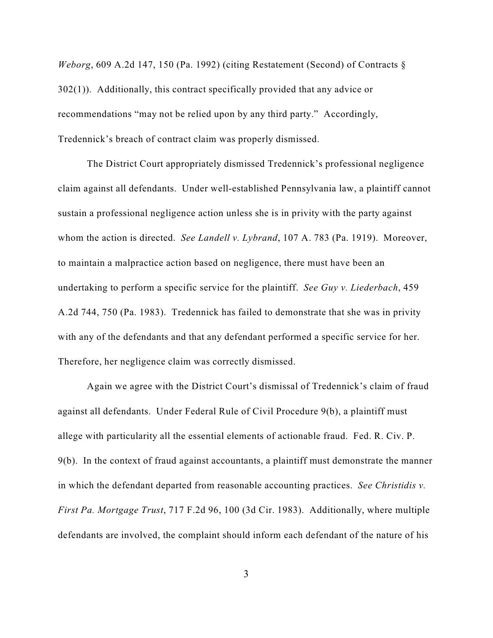*Weborg*, 609 A.2d 147, 150 (Pa. 1992) (citing Restatement (Second) of Contracts § 302(1)). Additionally, this contract specifically provided that any advice or recommendations "may not be relied upon by any third party." Accordingly, Tredennick's breach of contract claim was properly dismissed.

The District Court appropriately dismissed Tredennick's professional negligence claim against all defendants. Under well-established Pennsylvania law, a plaintiff cannot sustain a professional negligence action unless she is in privity with the party against whom the action is directed. *See Landell v. Lybrand*, 107 A. 783 (Pa. 1919). Moreover, to maintain a malpractice action based on negligence, there must have been an undertaking to perform a specific service for the plaintiff. *See Guy v. Liederbach*, 459 A.2d 744, 750 (Pa. 1983). Tredennick has failed to demonstrate that she was in privity with any of the defendants and that any defendant performed a specific service for her. Therefore, her negligence claim was correctly dismissed.

Again we agree with the District Court's dismissal of Tredennick's claim of fraud against all defendants. Under Federal Rule of Civil Procedure 9(b), a plaintiff must allege with particularity all the essential elements of actionable fraud. Fed. R. Civ. P. 9(b). In the context of fraud against accountants, a plaintiff must demonstrate the manner in which the defendant departed from reasonable accounting practices. *See Christidis v. First Pa. Mortgage Trust*, 717 F.2d 96, 100 (3d Cir. 1983). Additionally, where multiple defendants are involved, the complaint should inform each defendant of the nature of his